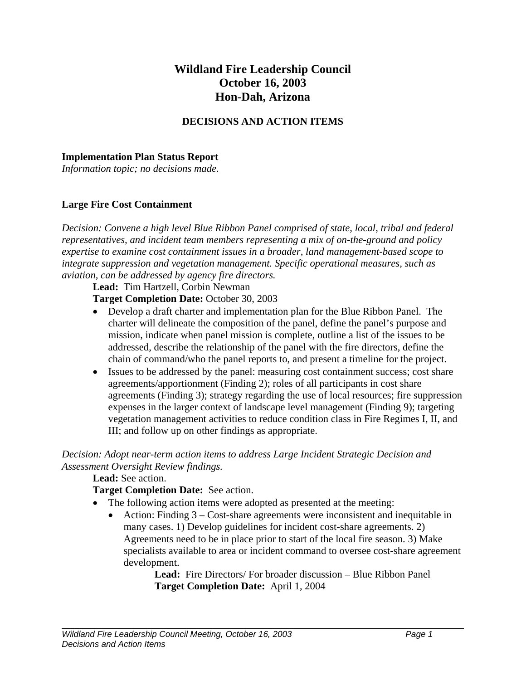# **Wildland Fire Leadership Council October 16, 2003 Hon-Dah, Arizona**

## **DECISIONS AND ACTION ITEMS**

#### **Implementation Plan Status Report**

*Information topic; no decisions made.* 

#### **Large Fire Cost Containment**

*Decision: Convene a high level Blue Ribbon Panel comprised of state, local, tribal and federal representatives, and incident team members representing a mix of on-the-ground and policy expertise to examine cost containment issues in a broader, land management-based scope to integrate suppression and vegetation management. Specific operational measures, such as aviation, can be addressed by agency fire directors.* 

**Lead:** Tim Hartzell, Corbin Newman

**Target Completion Date:** October 30, 2003

- Develop a draft charter and implementation plan for the Blue Ribbon Panel. The charter will delineate the composition of the panel, define the panel's purpose and mission, indicate when panel mission is complete, outline a list of the issues to be addressed, describe the relationship of the panel with the fire directors, define the chain of command/who the panel reports to, and present a timeline for the project.
- Issues to be addressed by the panel: measuring cost containment success; cost share agreements/apportionment (Finding 2); roles of all participants in cost share agreements (Finding 3); strategy regarding the use of local resources; fire suppression expenses in the larger context of landscape level management (Finding 9); targeting vegetation management activities to reduce condition class in Fire Regimes I, II, and III; and follow up on other findings as appropriate.

*Decision: Adopt near-term action items to address Large Incident Strategic Decision and Assessment Oversight Review findings.* 

## **Lead:** See action.

## **Target Completion Date:** See action.

- The following action items were adopted as presented at the meeting:
	- Action: Finding 3 Cost-share agreements were inconsistent and inequitable in many cases. 1) Develop guidelines for incident cost-share agreements. 2) Agreements need to be in place prior to start of the local fire season. 3) Make specialists available to area or incident command to oversee cost-share agreement development.

 **Lead:** Fire Directors/ For broader discussion – Blue Ribbon Panel **Target Completion Date:** April 1, 2004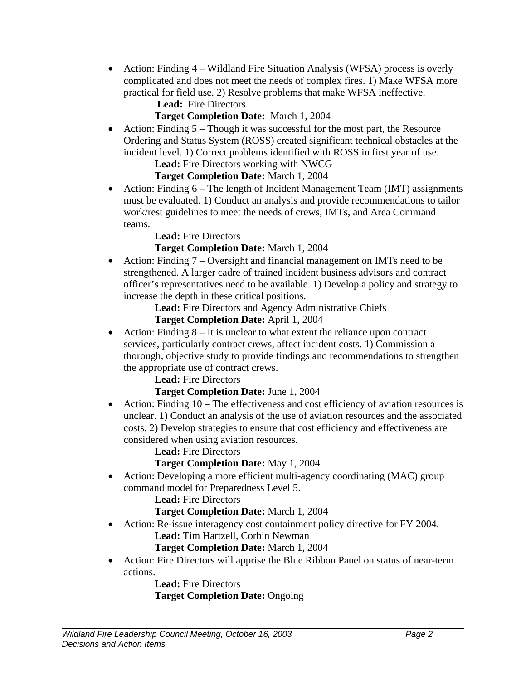- Action: Finding 4 Wildland Fire Situation Analysis (WFSA) process is overly complicated and does not meet the needs of complex fires. 1) Make WFSA more practical for field use. 2) Resolve problems that make WFSA ineffective.
	- **Lead:** Fire Directors

# **Target Completion Date:** March 1, 2004

• Action: Finding  $5 -$ Though it was successful for the most part, the Resource Ordering and Status System (ROSS) created significant technical obstacles at the incident level. 1) Correct problems identified with ROSS in first year of use.

**Lead:** Fire Directors working with NWCG

# **Target Completion Date:** March 1, 2004

• Action: Finding 6 – The length of Incident Management Team (IMT) assignments must be evaluated. 1) Conduct an analysis and provide recommendations to tailor work/rest guidelines to meet the needs of crews, IMTs, and Area Command teams.

**Lead:** Fire Directors

# **Target Completion Date:** March 1, 2004

• Action: Finding 7 – Oversight and financial management on IMTs need to be strengthened. A larger cadre of trained incident business advisors and contract officer's representatives need to be available. 1) Develop a policy and strategy to increase the depth in these critical positions.

**Lead:** Fire Directors and Agency Administrative Chiefs

# **Target Completion Date:** April 1, 2004

• Action: Finding  $8 - It$  is unclear to what extent the reliance upon contract services, particularly contract crews, affect incident costs. 1) Commission a thorough, objective study to provide findings and recommendations to strengthen the appropriate use of contract crews.

**Lead:** Fire Directors

# **Target Completion Date:** June 1, 2004

• Action: Finding 10 – The effectiveness and cost efficiency of aviation resources is unclear. 1) Conduct an analysis of the use of aviation resources and the associated costs. 2) Develop strategies to ensure that cost efficiency and effectiveness are considered when using aviation resources.

**Lead:** Fire Directors

**Target Completion Date:** May 1, 2004

• Action: Developing a more efficient multi-agency coordinating (MAC) group command model for Preparedness Level 5.

**Lead:** Fire Directors

**Target Completion Date:** March 1, 2004

• Action: Re-issue interagency cost containment policy directive for FY 2004. **Lead:** Tim Hartzell, Corbin Newman

**Target Completion Date:** March 1, 2004

• Action: Fire Directors will apprise the Blue Ribbon Panel on status of near-term actions.

 **Lead:** Fire Directors **Target Completion Date:** Ongoing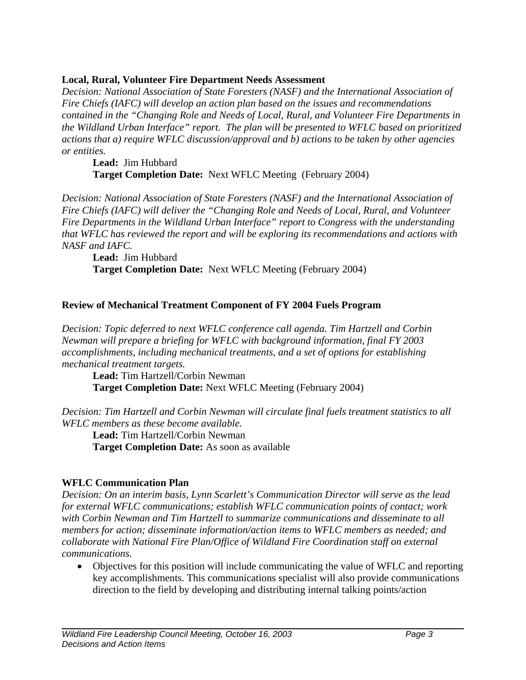## **Local, Rural, Volunteer Fire Department Needs Assessment**

*Decision: National Association of State Foresters (NASF) and the International Association of Fire Chiefs (IAFC) will develop an action plan based on the issues and recommendations contained in the "Changing Role and Needs of Local, Rural, and Volunteer Fire Departments in the Wildland Urban Interface" report. The plan will be presented to WFLC based on prioritized actions that a) require WFLC discussion/approval and b) actions to be taken by other agencies or entities.* 

**Lead:** Jim Hubbard  **Target Completion Date:** Next WFLC Meeting (February 2004)

*Decision: National Association of State Foresters (NASF) and the International Association of Fire Chiefs (IAFC) will deliver the "Changing Role and Needs of Local, Rural, and Volunteer Fire Departments in the Wildland Urban Interface" report to Congress with the understanding that WFLC has reviewed the report and will be exploring its recommendations and actions with NASF and IAFC.* 

**Lead:** Jim Hubbard  **Target Completion Date:** Next WFLC Meeting (February 2004)

# **Review of Mechanical Treatment Component of FY 2004 Fuels Program**

*Decision: Topic deferred to next WFLC conference call agenda. Tim Hartzell and Corbin Newman will prepare a briefing for WFLC with background information, final FY 2003 accomplishments, including mechanical treatments, and a set of options for establishing mechanical treatment targets.* 

**Lead:** Tim Hartzell/Corbin Newman **Target Completion Date:** Next WFLC Meeting (February 2004)

*Decision: Tim Hartzell and Corbin Newman will circulate final fuels treatment statistics to all WFLC members as these become available.* 

**Lead:** Tim Hartzell/Corbin Newman **Target Completion Date:** As soon as available

# **WFLC Communication Plan**

*Decision: On an interim basis, Lynn Scarlett's Communication Director will serve as the lead for external WFLC communications; establish WFLC communication points of contact; work with Corbin Newman and Tim Hartzell to summarize communications and disseminate to all members for action; disseminate information/action items to WFLC members as needed; and collaborate with National Fire Plan/Office of Wildland Fire Coordination staff on external communications.* 

• Objectives for this position will include communicating the value of WFLC and reporting key accomplishments. This communications specialist will also provide communications direction to the field by developing and distributing internal talking points/action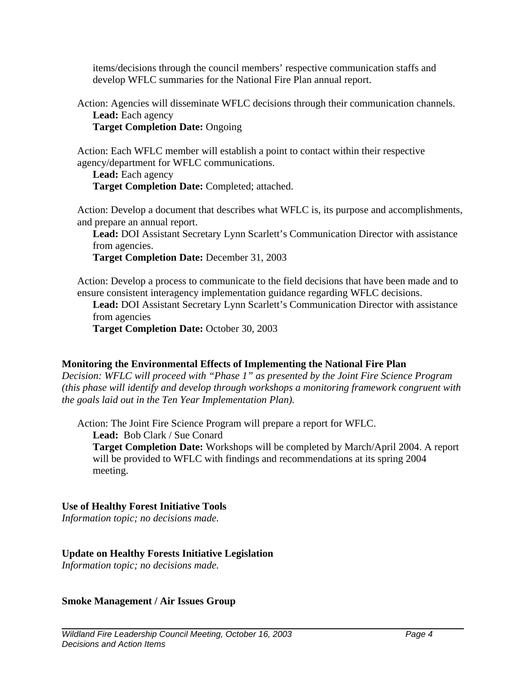items/decisions through the council members' respective communication staffs and develop WFLC summaries for the National Fire Plan annual report.

Action: Agencies will disseminate WFLC decisions through their communication channels. **Lead:** Each agency

**Target Completion Date:** Ongoing

Action: Each WFLC member will establish a point to contact within their respective agency/department for WFLC communications.

**Lead:** Each agency **Target Completion Date:** Completed; attached.

Action: Develop a document that describes what WFLC is, its purpose and accomplishments, and prepare an annual report.

**Lead:** DOI Assistant Secretary Lynn Scarlett's Communication Director with assistance from agencies.

**Target Completion Date:** December 31, 2003

Action: Develop a process to communicate to the field decisions that have been made and to ensure consistent interagency implementation guidance regarding WFLC decisions.

**Lead:** DOI Assistant Secretary Lynn Scarlett's Communication Director with assistance from agencies

**Target Completion Date:** October 30, 2003

## **Monitoring the Environmental Effects of Implementing the National Fire Plan**

*Decision: WFLC will proceed with "Phase 1" as presented by the Joint Fire Science Program (this phase will identify and develop through workshops a monitoring framework congruent with the goals laid out in the Ten Year Implementation Plan).* 

Action: The Joint Fire Science Program will prepare a report for WFLC.

**Lead:** Bob Clark / Sue Conard

**Target Completion Date:** Workshops will be completed by March/April 2004. A report will be provided to WFLC with findings and recommendations at its spring 2004 meeting.

## **Use of Healthy Forest Initiative Tools**

*Information topic; no decisions made.* 

## **Update on Healthy Forests Initiative Legislation**

*Information topic; no decisions made.* 

**Smoke Management / Air Issues Group**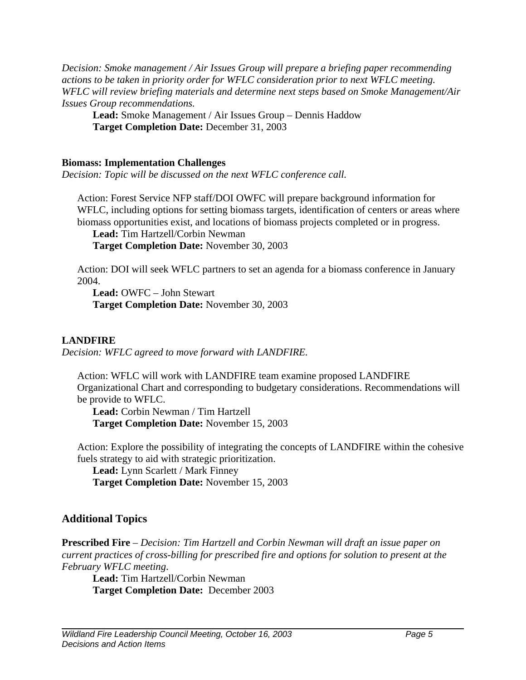*Decision: Smoke management / Air Issues Group will prepare a briefing paper recommending actions to be taken in priority order for WFLC consideration prior to next WFLC meeting. WFLC will review briefing materials and determine next steps based on Smoke Management/Air Issues Group recommendations.* 

**Lead:** Smoke Management / Air Issues Group – Dennis Haddow **Target Completion Date:** December 31, 2003

#### **Biomass: Implementation Challenges**

*Decision: Topic will be discussed on the next WFLC conference call.* 

Action: Forest Service NFP staff/DOI OWFC will prepare background information for WFLC, including options for setting biomass targets, identification of centers or areas where biomass opportunities exist, and locations of biomass projects completed or in progress.

**Lead:** Tim Hartzell/Corbin Newman

**Target Completion Date:** November 30, 2003

Action: DOI will seek WFLC partners to set an agenda for a biomass conference in January 2004.

**Lead:** OWFC – John Stewart **Target Completion Date:** November 30, 2003

## **LANDFIRE**

*Decision: WFLC agreed to move forward with LANDFIRE.* 

Action: WFLC will work with LANDFIRE team examine proposed LANDFIRE Organizational Chart and corresponding to budgetary considerations. Recommendations will be provide to WFLC.

**Lead:** Corbin Newman / Tim Hartzell **Target Completion Date:** November 15, 2003

Action: Explore the possibility of integrating the concepts of LANDFIRE within the cohesive fuels strategy to aid with strategic prioritization.

**Lead:** Lynn Scarlett / Mark Finney **Target Completion Date:** November 15, 2003

# **Additional Topics**

**Prescribed Fire** – *Decision: Tim Hartzell and Corbin Newman will draft an issue paper on current practices of cross-billing for prescribed fire and options for solution to present at the February WFLC meeting*.

**Lead:** Tim Hartzell/Corbin Newman **Target Completion Date:** December 2003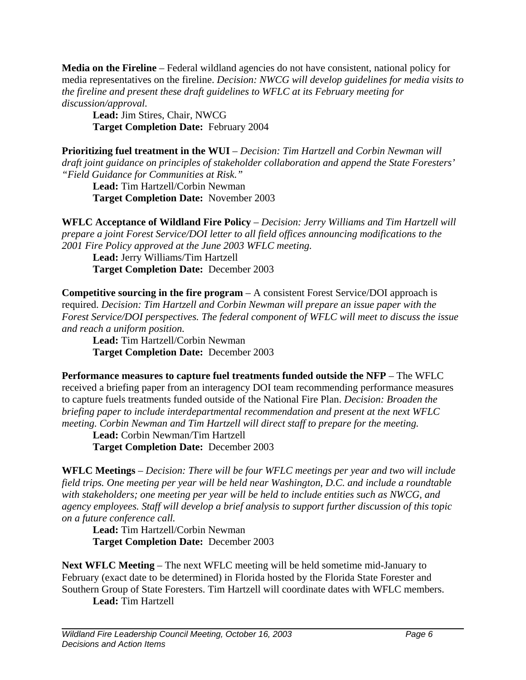**Media on the Fireline** – Federal wildland agencies do not have consistent, national policy for media representatives on the fireline. *Decision: NWCG will develop guidelines for media visits to the fireline and present these draft guidelines to WFLC at its February meeting for discussion/approval.*

**Lead:** Jim Stires, Chair, NWCG **Target Completion Date:** February 2004

**Prioritizing fuel treatment in the WUI** – *Decision: Tim Hartzell and Corbin Newman will draft joint guidance on principles of stakeholder collaboration and append the State Foresters' "Field Guidance for Communities at Risk."*

**Lead:** Tim Hartzell/Corbin Newman **Target Completion Date:** November 2003

**WFLC Acceptance of Wildland Fire Policy** *– Decision: Jerry Williams and Tim Hartzell will prepare a joint Forest Service/DOI letter to all field offices announcing modifications to the 2001 Fire Policy approved at the June 2003 WFLC meeting.*

**Lead:** Jerry Williams/Tim Hartzell **Target Completion Date:** December 2003

**Competitive sourcing in the fire program** – A consistent Forest Service/DOI approach is required. *Decision: Tim Hartzell and Corbin Newman will prepare an issue paper with the Forest Service/DOI perspectives. The federal component of WFLC will meet to discuss the issue and reach a uniform position.*

**Lead:** Tim Hartzell/Corbin Newman **Target Completion Date:** December 2003

**Performance measures to capture fuel treatments funded outside the NFP** – The WFLC received a briefing paper from an interagency DOI team recommending performance measures to capture fuels treatments funded outside of the National Fire Plan. *Decision: Broaden the briefing paper to include interdepartmental recommendation and present at the next WFLC meeting. Corbin Newman and Tim Hartzell will direct staff to prepare for the meeting.*

**Lead:** Corbin Newman/Tim Hartzell **Target Completion Date:** December 2003

**WFLC Meetings** – *Decision: There will be four WFLC meetings per year and two will include field trips. One meeting per year will be held near Washington, D.C. and include a roundtable with stakeholders; one meeting per year will be held to include entities such as NWCG, and agency employees. Staff will develop a brief analysis to support further discussion of this topic on a future conference call.*

**Lead:** Tim Hartzell/Corbin Newman **Target Completion Date:** December 2003

**Next WFLC Meeting** – The next WFLC meeting will be held sometime mid-January to February (exact date to be determined) in Florida hosted by the Florida State Forester and Southern Group of State Foresters. Tim Hartzell will coordinate dates with WFLC members.

**Lead:** Tim Hartzell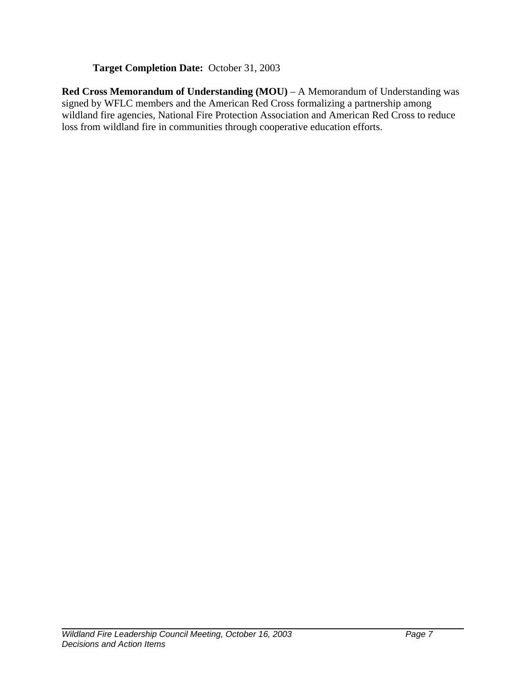# **Target Completion Date:** October 31, 2003

**Red Cross Memorandum of Understanding (MOU)** – A Memorandum of Understanding was signed by WFLC members and the American Red Cross formalizing a partnership among wildland fire agencies, National Fire Protection Association and American Red Cross to reduce loss from wildland fire in communities through cooperative education efforts.